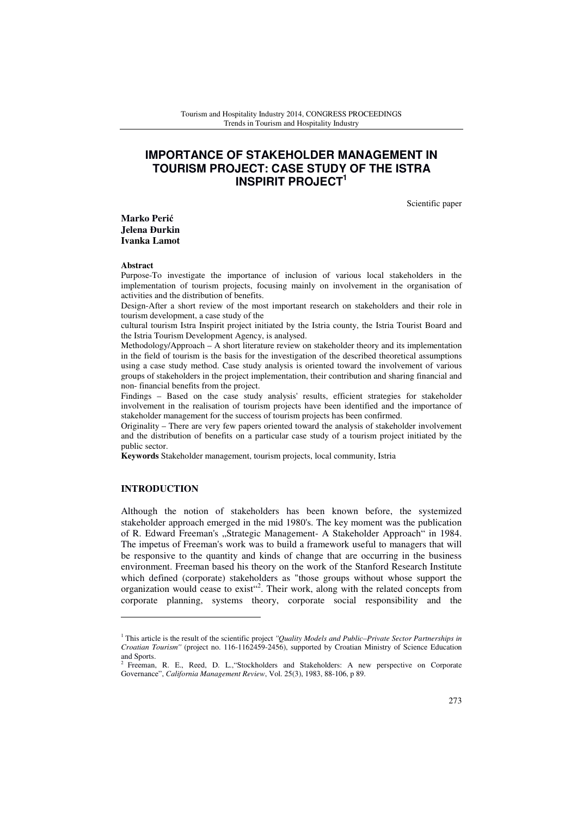# **IMPORTANCE OF STAKEHOLDER MANAGEMENT IN TOURISM PROJECT: CASE STUDY OF THE ISTRA INSPIRIT PROJECT<sup>1</sup>**

Scientific paper

**Marko Peri**ć **Jelena** Đ**urkin Ivanka Lamot** 

#### **Abstract**

Purpose-To investigate the importance of inclusion of various local stakeholders in the implementation of tourism projects, focusing mainly on involvement in the organisation of activities and the distribution of benefits.

Design-After a short review of the most important research on stakeholders and their role in tourism development, a case study of the

cultural tourism Istra Inspirit project initiated by the Istria county, the Istria Tourist Board and the Istria Tourism Development Agency, is analysed.

Methodology/Approach – A short literature review on stakeholder theory and its implementation in the field of tourism is the basis for the investigation of the described theoretical assumptions using a case study method. Case study analysis is oriented toward the involvement of various groups of stakeholders in the project implementation, their contribution and sharing financial and non- financial benefits from the project.

Findings – Based on the case study analysis' results, efficient strategies for stakeholder involvement in the realisation of tourism projects have been identified and the importance of stakeholder management for the success of tourism projects has been confirmed.

Originality – There are very few papers oriented toward the analysis of stakeholder involvement and the distribution of benefits on a particular case study of a tourism project initiated by the public sector.

**Keywords** Stakeholder management, tourism projects, local community, Istria

## **INTRODUCTION**

l

Although the notion of stakeholders has been known before, the systemized stakeholder approach emerged in the mid 1980's. The key moment was the publication of R. Edward Freeman's "Strategic Management- A Stakeholder Approach" in 1984. The impetus of Freeman's work was to build a framework useful to managers that will be responsive to the quantity and kinds of change that are occurring in the business environment. Freeman based his theory on the work of the Stanford Research Institute which defined (corporate) stakeholders as "those groups without whose support the organization would cease to exist"<sup>2</sup>. Their work, along with the related concepts from corporate planning, systems theory, corporate social responsibility and the

<sup>&</sup>lt;sup>1</sup> This article is the result of the scientific project *''Quality Models and Public–Private Sector Partnerships in Croatian Tourism''* (project no. 116-1162459-2456), supported by Croatian Ministry of Science Education and Sports.

<sup>2</sup> Freeman, R. E., Reed, D. L., "Stockholders and Stakeholders: A new perspective on Corporate Governance", *California Management Review*, Vol. 25(3), 1983, 88-106, p 89.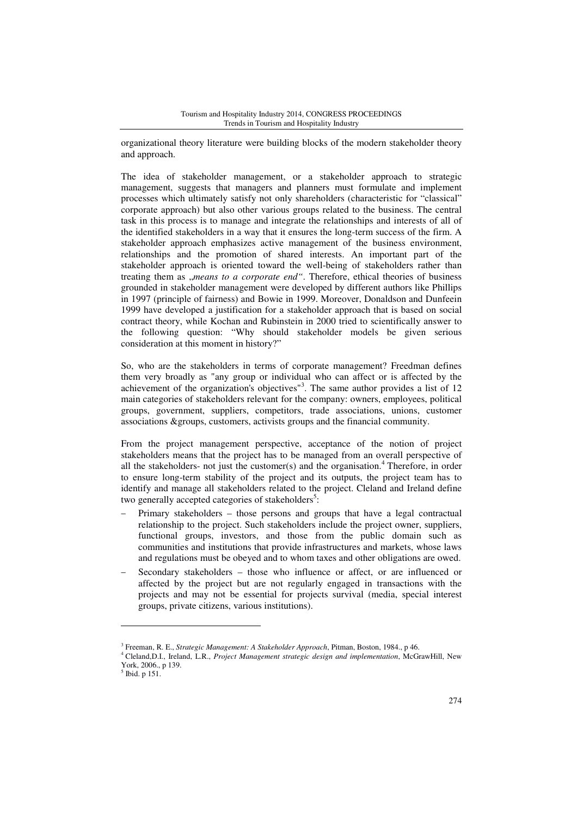organizational theory literature were building blocks of the modern stakeholder theory and approach.

The idea of stakeholder management, or a stakeholder approach to strategic management, suggests that managers and planners must formulate and implement processes which ultimately satisfy not only shareholders (characteristic for "classical" corporate approach) but also other various groups related to the business. The central task in this process is to manage and integrate the relationships and interests of all of the identified stakeholders in a way that it ensures the long-term success of the firm. A stakeholder approach emphasizes active management of the business environment, relationships and the promotion of shared interests. An important part of the stakeholder approach is oriented toward the well-being of stakeholders rather than treating them as *, means to a corporate end*". Therefore, ethical theories of business grounded in stakeholder management were developed by different authors like Phillips in 1997 (principle of fairness) and Bowie in 1999. Moreover, Donaldson and Dunfeein 1999 have developed a justification for a stakeholder approach that is based on social contract theory, while Kochan and Rubinstein in 2000 tried to scientifically answer to the following question: "Why should stakeholder models be given serious consideration at this moment in history?"

So, who are the stakeholders in terms of corporate management? Freedman defines them very broadly as "any group or individual who can affect or is affected by the achievement of the organization's objectives"<sup>3</sup>. The same author provides a list of 12 main categories of stakeholders relevant for the company: owners, employees, political groups, government, suppliers, competitors, trade associations, unions, customer associations &groups, customers, activists groups and the financial community.

From the project management perspective, acceptance of the notion of project stakeholders means that the project has to be managed from an overall perspective of all the stakeholders- not just the customer(s) and the organisation.<sup>4</sup> Therefore, in order to ensure long-term stability of the project and its outputs, the project team has to identify and manage all stakeholders related to the project. Cleland and Ireland define two generally accepted categories of stakeholders<sup>5</sup>:

- Primary stakeholders those persons and groups that have a legal contractual relationship to the project. Such stakeholders include the project owner, suppliers, functional groups, investors, and those from the public domain such as communities and institutions that provide infrastructures and markets, whose laws and regulations must be obeyed and to whom taxes and other obligations are owed.
- Secondary stakeholders those who influence or affect, or are influenced or affected by the project but are not regularly engaged in transactions with the projects and may not be essential for projects survival (media, special interest groups, private citizens, various institutions).

l

<sup>3</sup> Freeman, R. E., *Strategic Management: A Stakeholder Approach*, Pitman, Boston, 1984., p 46.

<sup>4</sup> Cleland,D.I., Ireland, L.R., *Project Management strategic design and implementation*, McGrawHill, New York, 2006., p 139.

<sup>5</sup> Ibid. p 151.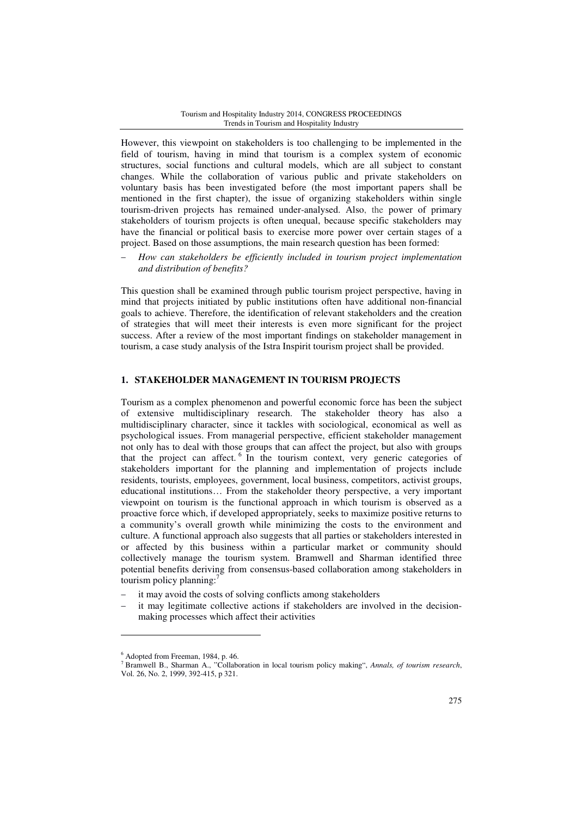However, this viewpoint on stakeholders is too challenging to be implemented in the field of tourism, having in mind that tourism is a complex system of economic structures, social functions and cultural models, which are all subject to constant changes. While the collaboration of various public and private stakeholders on voluntary basis has been investigated before (the most important papers shall be mentioned in the first chapter), the issue of organizing stakeholders within single tourism-driven projects has remained under-analysed. Also, the power of primary stakeholders of tourism projects is often unequal, because specific stakeholders may have the financial or political basis to exercise more power over certain stages of a project. Based on those assumptions, the main research question has been formed:

− *How can stakeholders be efficiently included in tourism project implementation and distribution of benefits?* 

This question shall be examined through public tourism project perspective, having in mind that projects initiated by public institutions often have additional non-financial goals to achieve. Therefore, the identification of relevant stakeholders and the creation of strategies that will meet their interests is even more significant for the project success. After a review of the most important findings on stakeholder management in tourism, a case study analysis of the Istra Inspirit tourism project shall be provided.

## **1. STAKEHOLDER MANAGEMENT IN TOURISM PROJECTS**

Tourism as a complex phenomenon and powerful economic force has been the subject of extensive multidisciplinary research. The stakeholder theory has also a multidisciplinary character, since it tackles with sociological, economical as well as psychological issues. From managerial perspective, efficient stakeholder management not only has to deal with those groups that can affect the project, but also with groups that the project can affect.<sup>6</sup> In the tourism context, very generic categories of stakeholders important for the planning and implementation of projects include residents, tourists, employees, government, local business, competitors, activist groups, educational institutions… From the stakeholder theory perspective, a very important viewpoint on tourism is the functional approach in which tourism is observed as a proactive force which, if developed appropriately, seeks to maximize positive returns to a community's overall growth while minimizing the costs to the environment and culture. A functional approach also suggests that all parties or stakeholders interested in or affected by this business within a particular market or community should collectively manage the tourism system. Bramwell and Sharman identified three potential benefits deriving from consensus-based collaboration among stakeholders in tourism policy planning:

- it may avoid the costs of solving conflicts among stakeholders
- it may legitimate collective actions if stakeholders are involved in the decisionmaking processes which affect their activities

l

<sup>6</sup> Adopted from Freeman, 1984, p. 46.

<sup>7</sup> Bramwell B., Sharman A., "Collaboration in local tourism policy making", *Annals, of tourism research*, Vol. 26, No. 2, 1999, 392-415, p 321.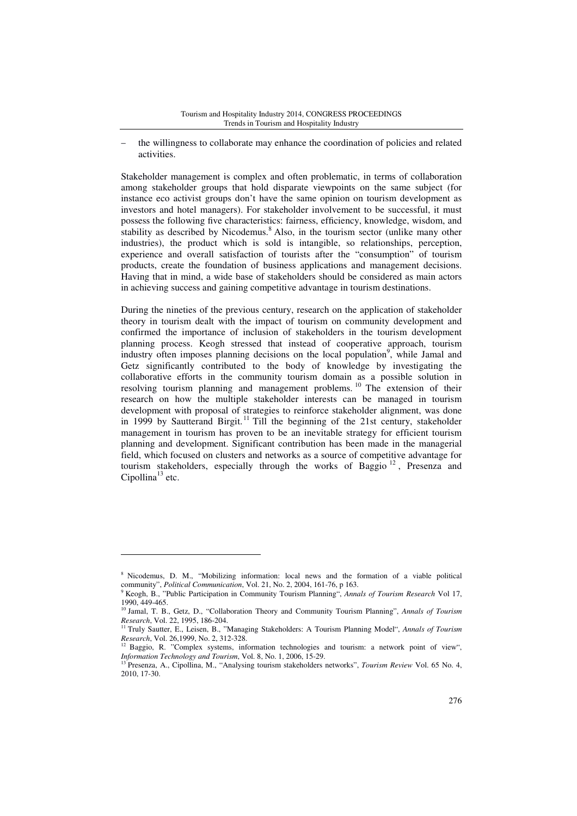the willingness to collaborate may enhance the coordination of policies and related activities.

Stakeholder management is complex and often problematic, in terms of collaboration among stakeholder groups that hold disparate viewpoints on the same subject (for instance eco activist groups don't have the same opinion on tourism development as investors and hotel managers). For stakeholder involvement to be successful, it must possess the following five characteristics: fairness, efficiency, knowledge, wisdom, and stability as described by Nicodemus.<sup>8</sup> Also, in the tourism sector (unlike many other industries), the product which is sold is intangible, so relationships, perception, experience and overall satisfaction of tourists after the "consumption" of tourism products, create the foundation of business applications and management decisions. Having that in mind, a wide base of stakeholders should be considered as main actors in achieving success and gaining competitive advantage in tourism destinations.

During the nineties of the previous century, research on the application of stakeholder theory in tourism dealt with the impact of tourism on community development and confirmed the importance of inclusion of stakeholders in the tourism development planning process. Keogh stressed that instead of cooperative approach, tourism industry often imposes planning decisions on the local population<sup>9</sup>, while Jamal and Getz significantly contributed to the body of knowledge by investigating the collaborative efforts in the community tourism domain as a possible solution in resolving tourism planning and management problems.<sup>10</sup> The extension of their research on how the multiple stakeholder interests can be managed in tourism development with proposal of strategies to reinforce stakeholder alignment, was done in 1999 by Sautterand Birgit.<sup>11</sup> Till the beginning of the 21st century, stakeholder management in tourism has proven to be an inevitable strategy for efficient tourism planning and development. Significant contribution has been made in the managerial field, which focused on clusters and networks as a source of competitive advantage for tourism stakeholders, especially through the works of Baggio  $^{12}$ , Presenza and Cipollina<sup>13</sup> etc.

l

<sup>8</sup> Nicodemus, D. M., "Mobilizing information: local news and the formation of a viable political community", *Political Communication*, Vol. 21, No. 2, 2004, 161-76, p 163.

<sup>9</sup> Keogh, B., "Public Participation in Community Tourism Planning", *Annals of Tourism Research* Vol 17, 1990, 449-465.

<sup>10</sup> Jamal, T. B., Getz, D., "Collaboration Theory and Community Tourism Planning", *Annals of Tourism Research*, Vol. 22, 1995, 186-204.

<sup>11</sup> Truly Sautter, E., Leisen, B., "Managing Stakeholders: A Tourism Planning Model", *Annals of Tourism Research*, Vol. 26,1999, No. 2, 312-328.

 $12$  Baggio, R. "Complex systems, information technologies and tourism: a network point of view",

*Information Technology and Tourism*, Vol. 8, No. 1, 2006, 15-29. <sup>13</sup> Presenza, A., Cipollina, M., "Analysing tourism stakeholders networks", *Tourism Review* Vol. 65 No. 4, 2010, 17-30.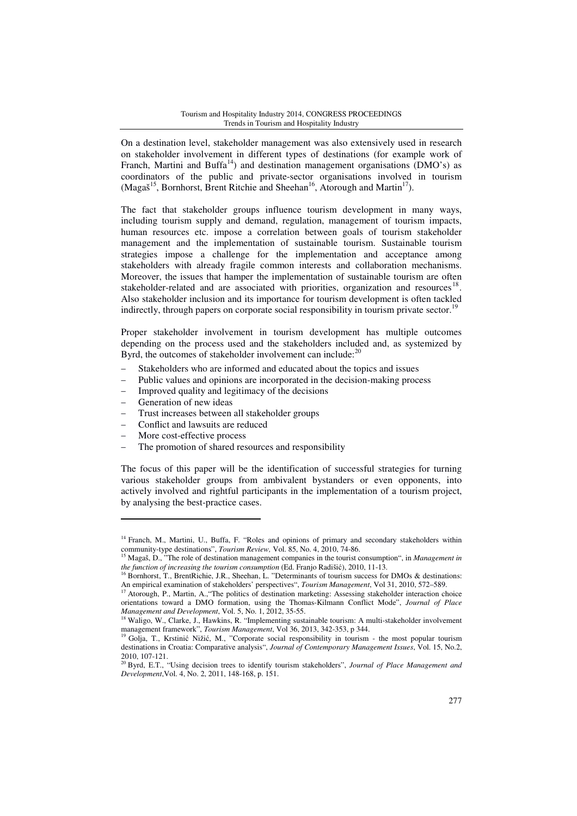On a destination level, stakeholder management was also extensively used in research on stakeholder involvement in different types of destinations (for example work of Franch, Martini and Buffa<sup>14</sup>) and destination management organisations (DMO's) as coordinators of the public and private-sector organisations involved in tourism (Magaš<sup>15</sup>, Bornhorst, Brent Ritchie and Sheehan<sup>16</sup>, Atorough and Martin<sup>17</sup>).

The fact that stakeholder groups influence tourism development in many ways, including tourism supply and demand, regulation, management of tourism impacts, human resources etc. impose a correlation between goals of tourism stakeholder management and the implementation of sustainable tourism. Sustainable tourism strategies impose a challenge for the implementation and acceptance among stakeholders with already fragile common interests and collaboration mechanisms. Moreover, the issues that hamper the implementation of sustainable tourism are often stakeholder-related and are associated with priorities, organization and resources<sup>18</sup>. Also stakeholder inclusion and its importance for tourism development is often tackled indirectly, through papers on corporate social responsibility in tourism private sector.<sup>1</sup>

Proper stakeholder involvement in tourism development has multiple outcomes depending on the process used and the stakeholders included and, as systemized by Byrd, the outcomes of stakeholder involvement can include: $2^2$ 

- Stakeholders who are informed and educated about the topics and issues
- Public values and opinions are incorporated in the decision-making process
- Improved quality and legitimacy of the decisions
- Generation of new ideas

l

- Trust increases between all stakeholder groups
- − Conflict and lawsuits are reduced
- More cost-effective process
- The promotion of shared resources and responsibility

The focus of this paper will be the identification of successful strategies for turning various stakeholder groups from ambivalent bystanders or even opponents, into actively involved and rightful participants in the implementation of a tourism project, by analysing the best-practice cases.

<sup>&</sup>lt;sup>14</sup> Franch, M., Martini, U., Buffa, F. "Roles and opinions of primary and secondary stakeholders within community-type destinations", *Tourism Review,* Vol. 85, No. 4, 2010, 74-86.

<sup>&</sup>lt;sup>15</sup> Magaš, D., <sup>3</sup>The role of destination management companies in the tourist consumption", in *Management in the function of increasing the tourism consumption* (Ed. Franjo Radišić), 2010, 11-13.

<sup>&</sup>lt;sup>16</sup> Bornhorst, T., BrentRichie, J.R., Sheehan, L. "Determinants of tourism success for DMOs & destinations: An empirical examination of stakeholders' perspectives", *Tourism Management*, Vol 31, 2010, 572–589.

<sup>17</sup> Atorough, P., Martin, A.,"The politics of destination marketing: Assessing stakeholder interaction choice orientations toward a DMO formation, using the Thomas-Kilmann Conflict Mode", *Journal of Place Management and Development*, Vol. 5, No. 1, 2012, 35-55.

<sup>&</sup>lt;sup>18</sup> Waligo, W., Clarke, J., Hawkins, R. "Implementing sustainable tourism: A multi-stakeholder involvement management framework", *Tourism Management*, Vol 36, 2013, 342-353, p 344.

<sup>19</sup> Golja, T., Krstinić Nižić, M., "Corporate social responsibility in tourism - the most popular tourism destinations in Croatia: Comparative analysis", *Journal of Contemporary Management Issues*, Vol. 15, No.2, 2010, 107-121.

<sup>20</sup> Byrd, E.T., "Using decision trees to identify tourism stakeholders", *Journal of Place Management and Development*,Vol. 4, No. 2, 2011, 148-168, p. 151.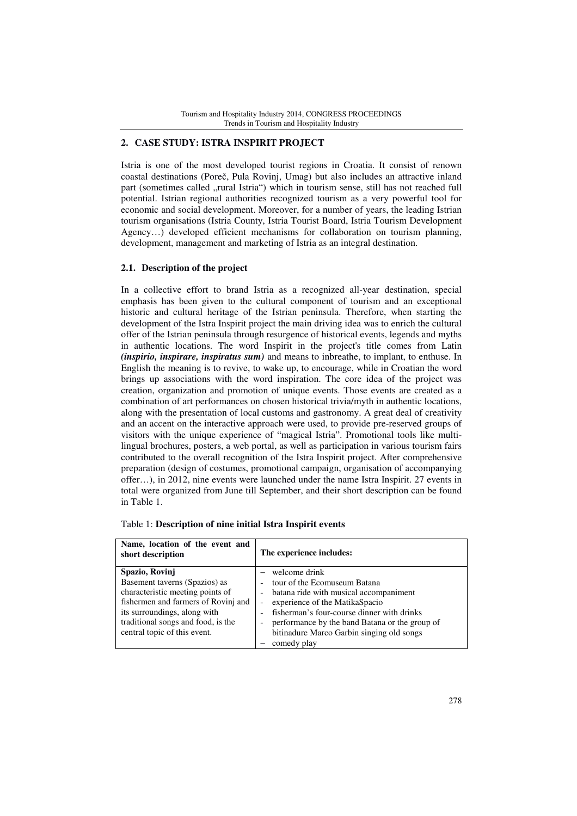# **2. CASE STUDY: ISTRA INSPIRIT PROJECT**

Istria is one of the most developed tourist regions in Croatia. It consist of renown coastal destinations (Poreč, Pula Rovinj, Umag) but also includes an attractive inland part (sometimes called "rural Istria") which in tourism sense, still has not reached full potential. Istrian regional authorities recognized tourism as a very powerful tool for economic and social development. Moreover, for a number of years, the leading Istrian tourism organisations (Istria County, Istria Tourist Board, Istria Tourism Development Agency…) developed efficient mechanisms for collaboration on tourism planning, development, management and marketing of Istria as an integral destination.

## **2.1. Description of the project**

In a collective effort to brand Istria as a recognized all-year destination, special emphasis has been given to the cultural component of tourism and an exceptional historic and cultural heritage of the Istrian peninsula. Therefore, when starting the development of the Istra Inspirit project the main driving idea was to enrich the cultural offer of the Istrian peninsula through resurgence of historical events, legends and myths in authentic locations. The word Inspirit in the project's title comes from Latin *(inspirio, inspirare, inspiratus sum)* and means to inbreathe, to implant, to enthuse. In English the meaning is to revive, to wake up, to encourage, while in Croatian the word brings up associations with the word inspiration. The core idea of the project was creation, organization and promotion of unique events. Those events are created as a combination of art performances on chosen historical trivia/myth in authentic locations, along with the presentation of local customs and gastronomy. A great deal of creativity and an accent on the interactive approach were used, to provide pre-reserved groups of visitors with the unique experience of "magical Istria". Promotional tools like multilingual brochures, posters, a web portal, as well as participation in various tourism fairs contributed to the overall recognition of the Istra Inspirit project. After comprehensive preparation (design of costumes, promotional campaign, organisation of accompanying offer…), in 2012, nine events were launched under the name Istra Inspirit. 27 events in total were organized from June till September, and their short description can be found in Table 1.

| Name, location of the event and<br>short description                                                                                                                                                                             | The experience includes:                                                                                                                                                                                                                                                                  |  |
|----------------------------------------------------------------------------------------------------------------------------------------------------------------------------------------------------------------------------------|-------------------------------------------------------------------------------------------------------------------------------------------------------------------------------------------------------------------------------------------------------------------------------------------|--|
| Spazio, Rovinj<br>Basement taverns (Spazios) as<br>characteristic meeting points of<br>fishermen and farmers of Rovinj and<br>its surroundings, along with<br>traditional songs and food, is the<br>central topic of this event. | $-$ welcome drink<br>tour of the Ecomuseum Batana<br>batana ride with musical accompaniment<br>experience of the MatikaSpacio<br>fisherman's four-course dinner with drinks<br>performance by the band Batana or the group of<br>bitinadure Marco Garbin singing old songs<br>comedy play |  |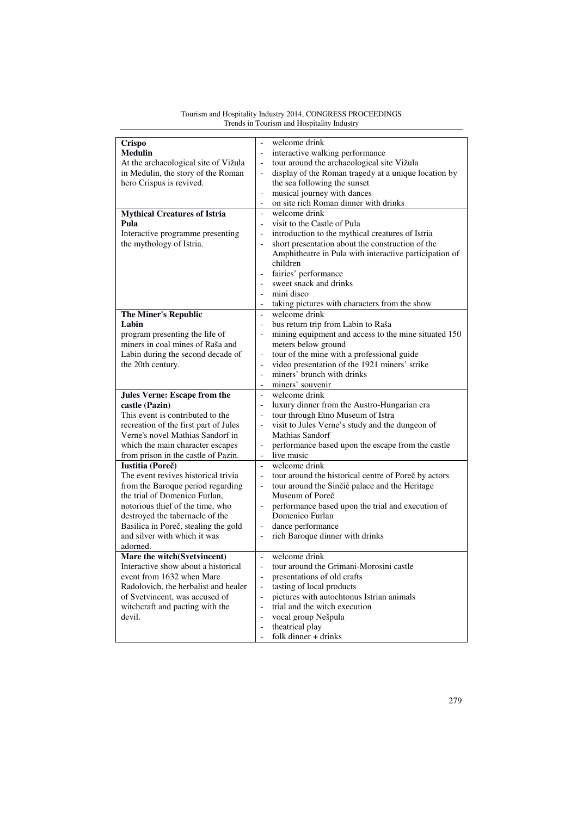| Crispo                                | welcome drink                                                                    |  |  |
|---------------------------------------|----------------------------------------------------------------------------------|--|--|
| <b>Medulin</b>                        | interactive walking performance<br>$\blacksquare$                                |  |  |
| At the archaeological site of Vižula  | tour around the archaeological site Vižula<br>$\qquad \qquad -$                  |  |  |
| in Medulin, the story of the Roman    | display of the Roman tragedy at a unique location by<br>$\overline{a}$           |  |  |
| hero Crispus is revived.              | the sea following the sunset                                                     |  |  |
|                                       | musical journey with dances<br>$\overline{a}$                                    |  |  |
|                                       | on site rich Roman dinner with drinks<br>$\overline{\phantom{a}}$                |  |  |
| <b>Mythical Creatures of Istria</b>   | welcome drink<br>$\overline{a}$                                                  |  |  |
| Pula                                  | visit to the Castle of Pula<br>$\overline{\phantom{a}}$                          |  |  |
| Interactive programme presenting      | introduction to the mythical creatures of Istria<br>$\blacksquare$               |  |  |
| the mythology of Istria.              | short presentation about the construction of the                                 |  |  |
|                                       | Amphitheatre in Pula with interactive participation of                           |  |  |
|                                       | children                                                                         |  |  |
|                                       | fairies' performance                                                             |  |  |
|                                       | sweet snack and drinks                                                           |  |  |
|                                       | mini disco                                                                       |  |  |
|                                       | taking pictures with characters from the show                                    |  |  |
| <b>The Miner's Republic</b>           | welcome drink<br>$\overline{\phantom{a}}$                                        |  |  |
| Labin                                 | bus return trip from Labin to Raša<br>$\blacksquare$                             |  |  |
| program presenting the life of        | mining equipment and access to the mine situated 150<br>$\qquad \qquad -$        |  |  |
| miners in coal mines of Raša and      | meters below ground                                                              |  |  |
| Labin during the second decade of     | tour of the mine with a professional guide<br>$\overline{\phantom{a}}$           |  |  |
| the 20th century.                     | video presentation of the 1921 miners' strike<br>$\qquad \qquad -$               |  |  |
|                                       | miners' brunch with drinks<br>$\overline{\phantom{0}}$                           |  |  |
|                                       | miners' souvenir<br>$\overline{\phantom{0}}$                                     |  |  |
|                                       |                                                                                  |  |  |
|                                       |                                                                                  |  |  |
| <b>Jules Verne: Escape from the</b>   | welcome drink<br>$\overline{\phantom{0}}$<br>$\overline{\phantom{0}}$            |  |  |
| castle (Pazin)                        | luxury dinner from the Austro-Hungarian era                                      |  |  |
| This event is contributed to the      | tour through Etno Museum of Istra<br>$\overline{\phantom{0}}$                    |  |  |
| recreation of the first part of Jules | visit to Jules Verne's study and the dungeon of<br>$\qquad \qquad -$             |  |  |
| Verne's novel Mathias Sandorf in      | Mathias Sandorf                                                                  |  |  |
| which the main character escapes      | performance based upon the escape from the castle<br>$\qquad \qquad -$           |  |  |
| from prison in the castle of Pazin.   | live music<br>$\qquad \qquad -$                                                  |  |  |
| Iustitia (Poreč)                      | welcome drink<br>$\frac{1}{2}$                                                   |  |  |
| The event revives historical trivia   | tour around the historical centre of Poreč by actors<br>$\overline{\phantom{0}}$ |  |  |
| from the Baroque period regarding     | tour around the Sinčić palace and the Heritage<br>$\overline{\phantom{0}}$       |  |  |
| the trial of Domenico Furlan,         | Museum of Poreč                                                                  |  |  |
| notorious thief of the time, who      | performance based upon the trial and execution of<br>$\qquad \qquad -$           |  |  |
| destroyed the tabernacle of the       | Domenico Furlan                                                                  |  |  |
| Basilica in Poreč, stealing the gold  | dance performance<br>$\blacksquare$                                              |  |  |
| and silver with which it was          | rich Baroque dinner with drinks<br>$\qquad \qquad -$                             |  |  |
| adorned.                              |                                                                                  |  |  |
| Mare the witch(Svetvincent)           | welcome drink<br>$\overline{\phantom{0}}$                                        |  |  |
| Interactive show about a historical   | tour around the Grimani-Morosini castle                                          |  |  |
| event from 1632 when Mare             | presentations of old crafts<br>$\overline{\phantom{0}}$                          |  |  |
| Radolovich, the herbalist and healer  | tasting of local products                                                        |  |  |
| of Svetvincent, was accused of        | pictures with autochtonus Istrian animals<br>$\overline{\phantom{0}}$            |  |  |
| witchcraft and pacting with the       | trial and the witch execution<br>$\overline{a}$                                  |  |  |
| devil.                                | vocal group Nešpula<br>$\overline{\phantom{a}}$                                  |  |  |
|                                       | theatrical play<br>$\blacksquare$<br>folk dinner + drinks<br>$\blacksquare$      |  |  |

#### Tourism and Hospitality Industry 2014, CONGRESS PROCEEDINGS Trends in Tourism and Hospitality Industry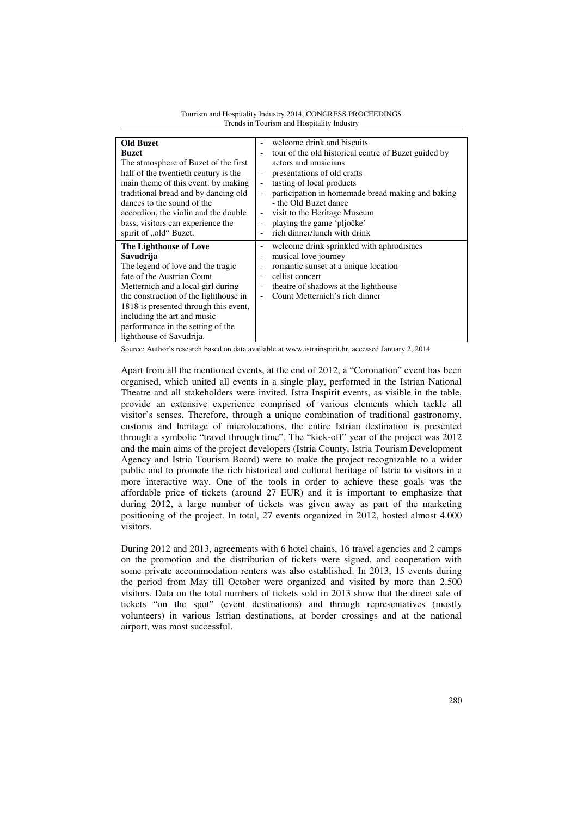| <b>Old Buzet</b>                      | welcome drink and biscuits                           |  |
|---------------------------------------|------------------------------------------------------|--|
| <b>Buzet</b>                          | tour of the old historical centre of Buzet guided by |  |
| The atmosphere of Buzet of the first  | actors and musicians                                 |  |
| half of the twentieth century is the  | presentations of old crafts                          |  |
| main theme of this event: by making   | tasting of local products                            |  |
| traditional bread and by dancing old  | participation in homemade bread making and baking    |  |
| dances to the sound of the            | - the Old Buzet dance                                |  |
| accordion, the violin and the double  | visit to the Heritage Museum                         |  |
| bass, visitors can experience the     | playing the game 'pljočke'                           |  |
| spirit of "old" Buzet.                | rich dinner/lunch with drink                         |  |
| The Lighthouse of Love                | welcome drink sprinkled with aphrodisiacs            |  |
| Savudrija                             | musical love journey                                 |  |
| The legend of love and the tragic     | romantic sunset at a unique location                 |  |
| fate of the Austrian Count            | cellist concert                                      |  |
| Metternich and a local girl during    | theatre of shadows at the lighthouse                 |  |
| the construction of the lighthouse in | Count Metternich's rich dinner                       |  |
| 1818 is presented through this event, |                                                      |  |
| including the art and music           |                                                      |  |
| performance in the setting of the     |                                                      |  |
| lighthouse of Savudrija.              |                                                      |  |

Tourism and Hospitality Industry 2014, CONGRESS PROCEEDINGS Trends in Tourism and Hospitality Industry

Source: Author's research based on data available at www.istrainspirit.hr, accessed January 2, 2014

Apart from all the mentioned events, at the end of 2012, a "Coronation" event has been organised, which united all events in a single play, performed in the Istrian National Theatre and all stakeholders were invited. Istra Inspirit events, as visible in the table, provide an extensive experience comprised of various elements which tackle all visitor's senses. Therefore, through a unique combination of traditional gastronomy, customs and heritage of microlocations, the entire Istrian destination is presented through a symbolic "travel through time". The "kick-off" year of the project was 2012 and the main aims of the project developers (Istria County, Istria Tourism Development Agency and Istria Tourism Board) were to make the project recognizable to a wider public and to promote the rich historical and cultural heritage of Istria to visitors in a more interactive way. One of the tools in order to achieve these goals was the affordable price of tickets (around 27 EUR) and it is important to emphasize that during 2012, a large number of tickets was given away as part of the marketing positioning of the project. In total, 27 events organized in 2012, hosted almost 4.000 visitors.

During 2012 and 2013, agreements with 6 hotel chains, 16 travel agencies and 2 camps on the promotion and the distribution of tickets were signed, and cooperation with some private accommodation renters was also established. In 2013, 15 events during the period from May till October were organized and visited by more than 2.500 visitors. Data on the total numbers of tickets sold in 2013 show that the direct sale of tickets "on the spot" (event destinations) and through representatives (mostly volunteers) in various Istrian destinations, at border crossings and at the national airport, was most successful.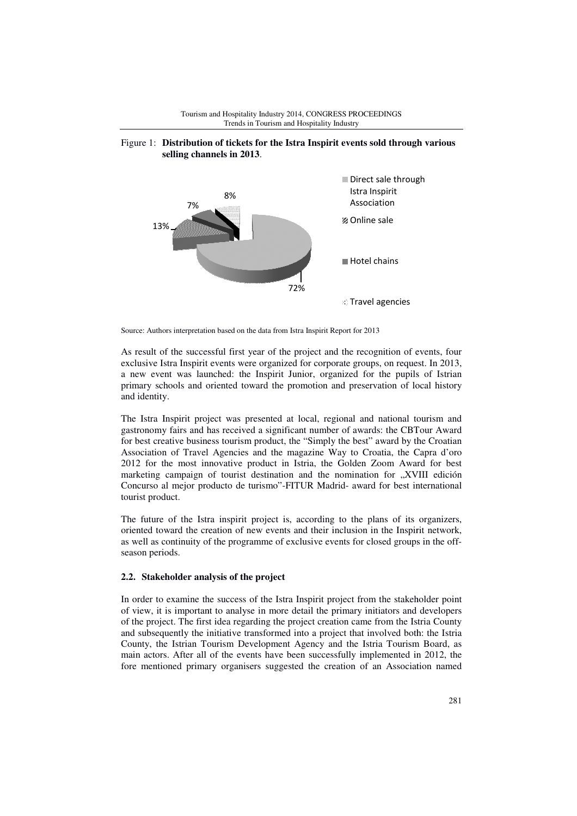

# Tourism and Hospitality Industry 2014, CONGRESS PROCEEDINGS Figure 1: **Distribution of tickets for the Istra Inspirit events sold through various**  Trends in Tourism and Hospitality Industry

Source: Authors interpretation based on the data from Istra Inspirit Report for 2013

As result of the successful first year of the project and the recognition of events, four exclusive Istra Inspirit events were organized for corporate groups, on request. In 2013, a new event was launched: the Inspirit Junior, organized for the pupils of Istrian primary schools and oriented toward the promotion and preservation of local history and identity.

The Istra Inspirit project was presented at local, regional and national tourism and gastronomy fairs and has received a significant number of awards: the CBTour Award for best creative business tourism product, the "Simply the best" award by the Croatian Association of Travel Agencies and the magazine Way to Croatia, the Capra d'oro 2012 for the most innovative product in Istria, the Golden Zoom Award for best marketing campaign of tourist destination and the nomination for "XVIII edición Concurso al mejor producto de turismo"-FITUR Madrid- award for best international tourist product.

The future of the Istra inspirit project is, according to the plans of its organizers, oriented toward the creation of new events and their inclusion in the Inspirit network, as well as continuity of the programme of exclusive events for closed groups in the offseason periods.

## **2.2. Stakeholder analysis of the project**

In order to examine the success of the Istra Inspirit project from the stakeholder point of view, it is important to analyse in more detail the primary initiators and developers of the project. The first idea regarding the project creation came from the Istria County and subsequently the initiative transformed into a project that involved both: the Istria County, the Istrian Tourism Development Agency and the Istria Tourism Board, as main actors. After all of the events have been successfully implemented in 2012, the fore mentioned primary organisers suggested the creation of an Association named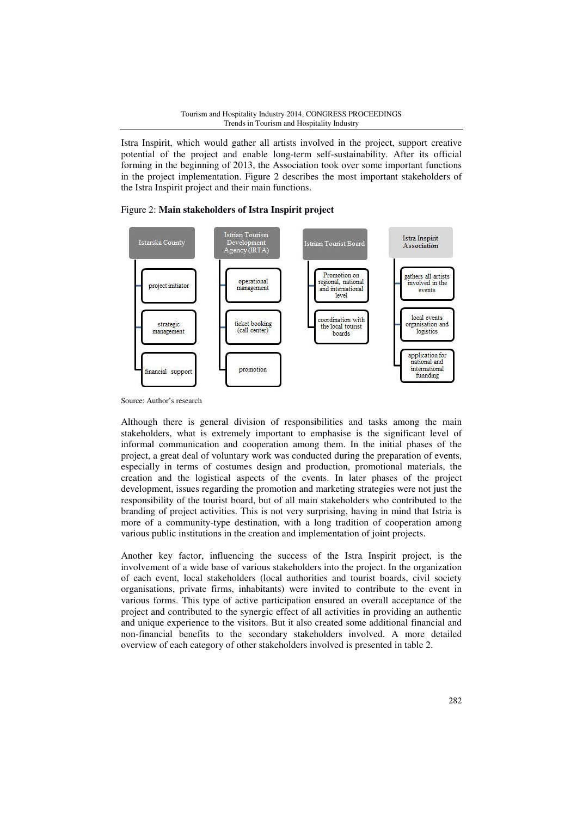Istra Inspirit, which would gather all artists involved in the project, support creative potential of the project and enable long-term self-sustainability. After its official forming in the beginning of 2013, the Association took over some important functions in the project implementation. Figure 2 describes the most important stakeholders of the Istra Inspirit project and their main functions.

## Figure 2: **Main stakeholders of Istra Inspirit project**



Source: Author's research

Although there is general division of responsibilities and tasks among the main stakeholders, what is extremely important to emphasise is the significant level of informal communication and cooperation among them. In the initial phases of the project, a great deal of voluntary work was conducted during the preparation of events, especially in terms of costumes design and production, promotional materials, the creation and the logistical aspects of the events. In later phases of the project development, issues regarding the promotion and marketing strategies were not just the responsibility of the tourist board, but of all main stakeholders who contributed to the branding of project activities. This is not very surprising, having in mind that Istria is more of a community-type destination, with a long tradition of cooperation among various public institutions in the creation and implementation of joint projects.

Another key factor, influencing the success of the Istra Inspirit project, is the involvement of a wide base of various stakeholders into the project. In the organization of each event, local stakeholders (local authorities and tourist boards, civil society organisations, private firms, inhabitants) were invited to contribute to the event in various forms. This type of active participation ensured an overall acceptance of the project and contributed to the synergic effect of all activities in providing an authentic and unique experience to the visitors. But it also created some additional financial and non-financial benefits to the secondary stakeholders involved. A more detailed overview of each category of other stakeholders involved is presented in table 2.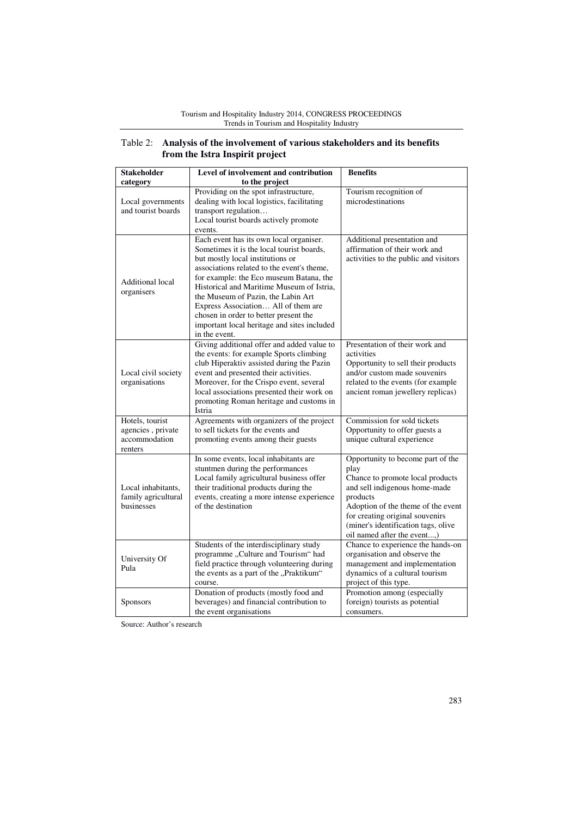#### Tourism and Hospitality Industry 2014, CONGRESS PROCEEDINGS Trends in Tourism and Hospitality Industry

| Table 2: Analysis of the involvement of various stakeholders and its benefits |
|-------------------------------------------------------------------------------|
| from the Istra Inspirit project                                               |

| <b>Stakeholder</b>                                               | Level of involvement and contribution                                                                                                                                                                                                                                                                                                                                                                                                                | <b>Benefits</b>                                                                                                                                                                                                                                                           |
|------------------------------------------------------------------|------------------------------------------------------------------------------------------------------------------------------------------------------------------------------------------------------------------------------------------------------------------------------------------------------------------------------------------------------------------------------------------------------------------------------------------------------|---------------------------------------------------------------------------------------------------------------------------------------------------------------------------------------------------------------------------------------------------------------------------|
| category                                                         | to the project                                                                                                                                                                                                                                                                                                                                                                                                                                       |                                                                                                                                                                                                                                                                           |
| Local governments<br>and tourist boards                          | Providing on the spot infrastructure,<br>dealing with local logistics, facilitating<br>transport regulation<br>Local tourist boards actively promote<br>events.                                                                                                                                                                                                                                                                                      | Tourism recognition of<br>microdestinations                                                                                                                                                                                                                               |
| Additional local<br>organisers                                   | Each event has its own local organiser.<br>Sometimes it is the local tourist boards.<br>but mostly local institutions or<br>associations related to the event's theme,<br>for example: the Eco museum Batana, the<br>Historical and Maritime Museum of Istria,<br>the Museum of Pazin, the Labin Art<br>Express Association All of them are<br>chosen in order to better present the<br>important local heritage and sites included<br>in the event. | Additional presentation and<br>affirmation of their work and<br>activities to the public and visitors                                                                                                                                                                     |
| Local civil society<br>organisations                             | Giving additional offer and added value to<br>the events: for example Sports climbing<br>club Hiperaktiv assisted during the Pazin<br>event and presented their activities.<br>Moreover, for the Crispo event, several<br>local associations presented their work on<br>promoting Roman heritage and customs in<br>Istria                                                                                                                            | Presentation of their work and<br>activities<br>Opportunity to sell their products<br>and/or custom made souvenirs<br>related to the events (for example<br>ancient roman jewellery replicas)                                                                             |
| Hotels, tourist<br>agencies, private<br>accommodation<br>renters | Agreements with organizers of the project<br>to sell tickets for the events and<br>promoting events among their guests                                                                                                                                                                                                                                                                                                                               | Commission for sold tickets<br>Opportunity to offer guests a<br>unique cultural experience                                                                                                                                                                                |
| Local inhabitants,<br>family agricultural<br>businesses          | In some events, local inhabitants are<br>stuntmen during the performances<br>Local family agricultural business offer<br>their traditional products during the<br>events, creating a more intense experience<br>of the destination                                                                                                                                                                                                                   | Opportunity to become part of the<br>play<br>Chance to promote local products<br>and sell indigenous home-made<br>products<br>Adoption of the theme of the event<br>for creating original souvenirs<br>(miner's identification tags, olive<br>oil named after the event,) |
| University Of<br>Pula                                            | Students of the interdisciplinary study<br>programme "Culture and Tourism" had<br>field practice through volunteering during<br>the events as a part of the "Praktikum"<br>course.                                                                                                                                                                                                                                                                   | Chance to experience the hands-on<br>organisation and observe the<br>management and implementation<br>dynamics of a cultural tourism<br>project of this type.                                                                                                             |
| Sponsors                                                         | Donation of products (mostly food and<br>beverages) and financial contribution to<br>the event organisations                                                                                                                                                                                                                                                                                                                                         | Promotion among (especially<br>foreign) tourists as potential<br>consumers.                                                                                                                                                                                               |

Source: Author's research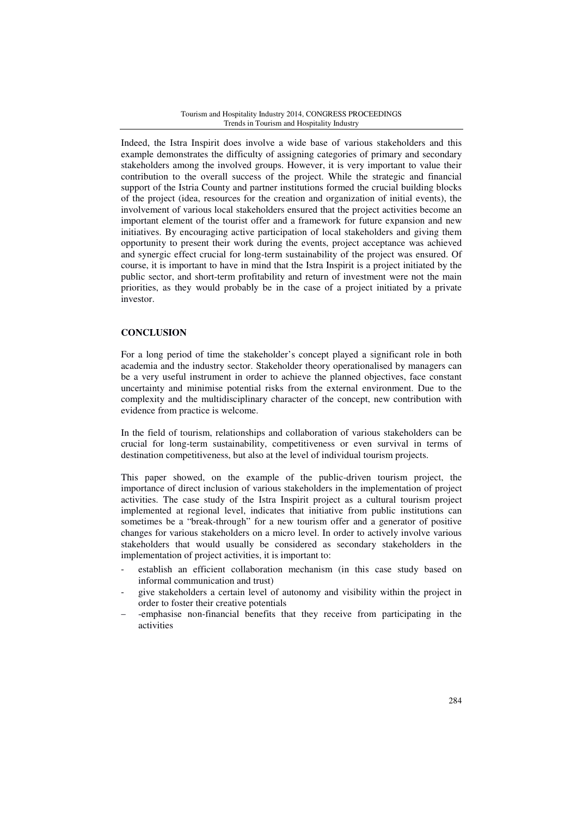Indeed, the Istra Inspirit does involve a wide base of various stakeholders and this example demonstrates the difficulty of assigning categories of primary and secondary stakeholders among the involved groups. However, it is very important to value their contribution to the overall success of the project. While the strategic and financial support of the Istria County and partner institutions formed the crucial building blocks of the project (idea, resources for the creation and organization of initial events), the involvement of various local stakeholders ensured that the project activities become an important element of the tourist offer and a framework for future expansion and new initiatives. By encouraging active participation of local stakeholders and giving them opportunity to present their work during the events, project acceptance was achieved and synergic effect crucial for long-term sustainability of the project was ensured. Of course, it is important to have in mind that the Istra Inspirit is a project initiated by the public sector, and short-term profitability and return of investment were not the main priorities, as they would probably be in the case of a project initiated by a private investor.

# **CONCLUSION**

For a long period of time the stakeholder's concept played a significant role in both academia and the industry sector. Stakeholder theory operationalised by managers can be a very useful instrument in order to achieve the planned objectives, face constant uncertainty and minimise potential risks from the external environment. Due to the complexity and the multidisciplinary character of the concept, new contribution with evidence from practice is welcome.

In the field of tourism, relationships and collaboration of various stakeholders can be crucial for long-term sustainability, competitiveness or even survival in terms of destination competitiveness, but also at the level of individual tourism projects.

This paper showed, on the example of the public-driven tourism project, the importance of direct inclusion of various stakeholders in the implementation of project activities. The case study of the Istra Inspirit project as a cultural tourism project implemented at regional level, indicates that initiative from public institutions can sometimes be a "break-through" for a new tourism offer and a generator of positive changes for various stakeholders on a micro level. In order to actively involve various stakeholders that would usually be considered as secondary stakeholders in the implementation of project activities, it is important to:

- establish an efficient collaboration mechanism (in this case study based on informal communication and trust)
- give stakeholders a certain level of autonomy and visibility within the project in order to foster their creative potentials
- − -emphasise non-financial benefits that they receive from participating in the activities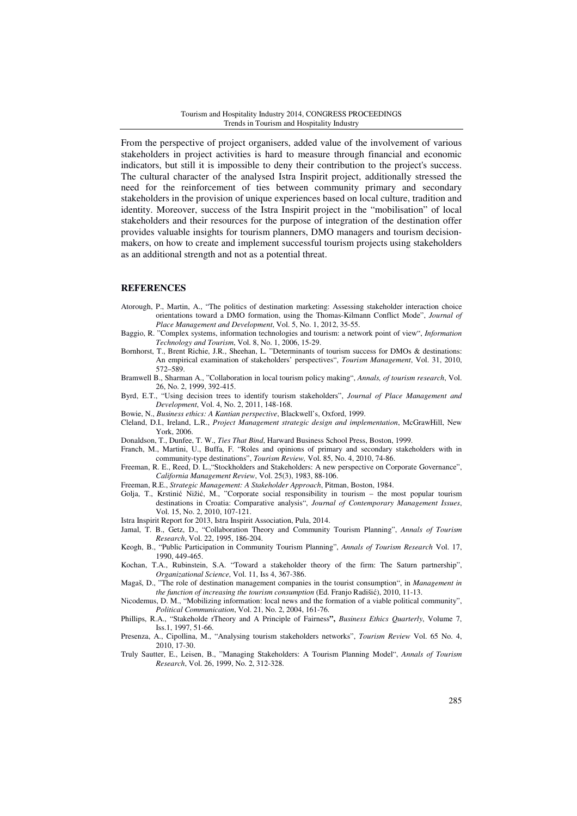From the perspective of project organisers, added value of the involvement of various stakeholders in project activities is hard to measure through financial and economic indicators, but still it is impossible to deny their contribution to the project's success. The cultural character of the analysed Istra Inspirit project, additionally stressed the need for the reinforcement of ties between community primary and secondary stakeholders in the provision of unique experiences based on local culture, tradition and identity. Moreover, success of the Istra Inspirit project in the "mobilisation" of local stakeholders and their resources for the purpose of integration of the destination offer provides valuable insights for tourism planners, DMO managers and tourism decisionmakers, on how to create and implement successful tourism projects using stakeholders as an additional strength and not as a potential threat.

### **REFERENCES**

- Atorough, P., Martin, A., "The politics of destination marketing: Assessing stakeholder interaction choice orientations toward a DMO formation, using the Thomas-Kilmann Conflict Mode", *Journal of Place Management and Development*, Vol. 5, No. 1, 2012, 35-55.
- Baggio, R. "Complex systems, information technologies and tourism: a network point of view", *Information Technology and Tourism*, Vol. 8, No. 1, 2006, 15-29.
- Bornhorst, T., Brent Richie, J.R., Sheehan, L. "Determinants of tourism success for DMOs & destinations: An empirical examination of stakeholders' perspectives", *Tourism Management*, Vol. 31, 2010, 572–589.
- Bramwell B., Sharman A., "Collaboration in local tourism policy making", *Annals, of tourism research*, Vol. 26, No. 2, 1999, 392-415.
- Byrd, E.T., "Using decision trees to identify tourism stakeholders", *Journal of Place Management and Development*, Vol. 4, No. 2, 2011, 148-168.
- Bowie, N., *Business ethics: A Kantian perspective*, Blackwell's, Oxford, 1999.
- Cleland, D.I., Ireland, L.R., *Project Management strategic design and implementation*, McGrawHill, New York, 2006.
- Donaldson, T., Dunfee, T. W., *Ties That Bind*, Harward Business School Press, Boston, 1999.
- Franch, M., Martini, U., Buffa, F. "Roles and opinions of primary and secondary stakeholders with in
- community-type destinations", *Tourism Review,* Vol. 85, No. 4, 2010, 74-86. Freeman, R. E., Reed, D. L.,"Stockholders and Stakeholders: A new perspective on Corporate Governance",
- *California Management Review*, Vol. 25(3), 1983, 88-106.
- Freeman, R.E., *Strategic Management: A Stakeholder Approach*, Pitman, Boston, 1984.
- Golja, T., Krstinić Nižić, M., "Corporate social responsibility in tourism the most popular tourism destinations in Croatia: Comparative analysis", *Journal of Contemporary Management Issues*, Vol. 15, No. 2, 2010, 107-121.
- Istra Inspirit Report for 2013, Istra Inspirit Association, Pula, 2014.
- Jamal, T. B., Getz, D., "Collaboration Theory and Community Tourism Planning", *Annals of Tourism Research*, Vol. 22, 1995, 186-204.
- Keogh, B., "Public Participation in Community Tourism Planning", *Annals of Tourism Research* Vol. 17, 1990, 449-465.
- Kochan, T.A., Rubinstein, S.A. "Toward a stakeholder theory of the firm: The Saturn partnership", *Organizational Science*, Vol. 11, Iss 4, 367-386.
- Magaš, D., "The role of destination management companies in the tourist consumption", in *Management in the function of increasing the tourism consumption* (Ed. Franjo Radišić), 2010, 11-13.
- Nicodemus, D. M., "Mobilizing information: local news and the formation of a viable political community", *Political Communication*, Vol. 21, No. 2, 2004, 161-76.
- Phillips, R.A., "Stakeholde rTheory and A Principle of Fairness**",** *Business Ethics Quarterly*, Volume 7, Iss.1, 1997, 51-66.
- Presenza, A., Cipollina, M., "Analysing tourism stakeholders networks", *Tourism Review* Vol. 65 No. 4, 2010, 17-30.
- Truly Sautter, E., Leisen, B., "Managing Stakeholders: A Tourism Planning Model", *Annals of Tourism Research*, Vol. 26, 1999, No. 2, 312-328.